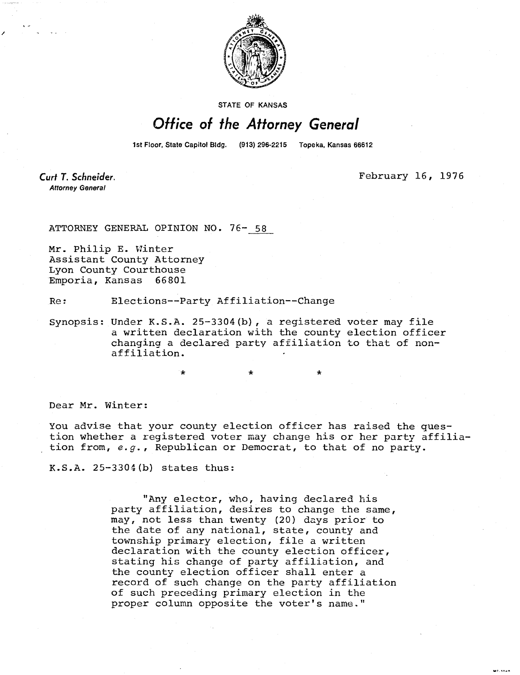

**STATE OF KANSAS** 

## Office of the Attorney General

1st Floor, State Capitol Bldg. (913) 296-2215 Topeka, Kansas 66612

Curt T. Schneider. **Attorney General** 

February 16, 1976

. . . . . .

ATTORNEY GENERAL OPINION NO. 76- 58

Mr. Philip E. Winter Assistant County Attorney Lyon County Courthouse Emporia, Kansas 66801

Re: Elections--Party Affiliation--Change

Synopsis: Under K.S.A. 25-3304(b), a registered voter may file a written declaration with the county election officer changing a declared party affiliation to that of nonaffiliation.

Dear Mr. Winter:

You advise that your county election officer has raised the question whether a registered voter may change his or her party affiliation from, e.g., Republican or Democrat, to that of no party.

K.S.A. 25-3304(b) states thus:

"Any elector, who, having declared his party affiliation, desires to change the same, may, not less than twenty (20) days prior to the date of any national, state, county and township primary election, file a written declaration with the county election officer, stating his change of party affiliation, and the county election officer shall enter a record of such change on the party affiliation of such preceding primary election in the proper column opposite the voter's name."